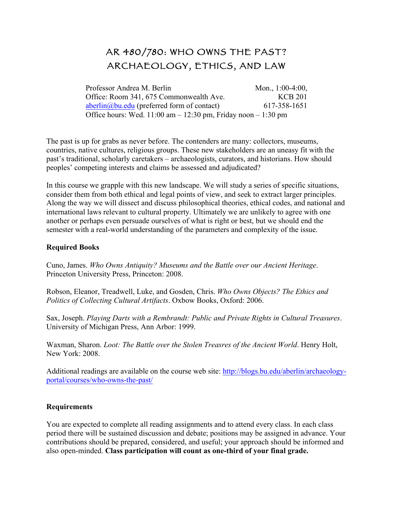## AR 480/780: WHO OWNS THE PAST? ARCHAEOLOGY, ETHICS, AND LAW

Professor Andrea M. Berlin Office: Room 341, 675 Commonwealth Ave. Mon., 1:00-4:00, KCB 201 aberlin@bu.edu (preferred form of contact) 617-358-1651 Office hours: Wed.  $11:00$  am  $-12:30$  pm, Friday noon  $-1:30$  pm

The past is up for grabs as never before. The contenders are many: collectors, museums, countries, native cultures, religious groups. These new stakeholders are an uneasy fit with the past's traditional, scholarly caretakers – archaeologists, curators, and historians. How should peoples' competing interests and claims be assessed and adjudicated?

In this course we grapple with this new landscape. We will study a series of specific situations, consider them from both ethical and legal points of view, and seek to extract larger principles. Along the way we will dissect and discuss philosophical theories, ethical codes, and national and international laws relevant to cultural property. Ultimately we are unlikely to agree with one another or perhaps even persuade ourselves of what is right or best, but we should end the semester with a real-world understanding of the parameters and complexity of the issue.

## **Required Books**

Cuno, James. *Who Owns Antiquity? Museums and the Battle over our Ancient Heritage*. Princeton University Press, Princeton: 2008.

Robson, Eleanor, Treadwell, Luke, and Gosden, Chris. *Who Owns Objects? The Ethics and Politics of Collecting Cultural Artifacts*. Oxbow Books, Oxford: 2006.

Sax, Joseph. *Playing Darts with a Rembrandt: Public and Private Rights in Cultural Treasures*. University of Michigan Press, Ann Arbor: 1999.

Waxman, Sharon. *Loot: The Battle over the Stolen Treasres of the Ancient World*. Henry Holt, New York: 2008.

Additional readings are available on the course web site: http://blogs.bu.edu/aberlin/archaeologyportal/courses/who-owns-the-past/

## **Requirements**

You are expected to complete all reading assignments and to attend every class. In each class period there will be sustained discussion and debate; positions may be assigned in advance. Your contributions should be prepared, considered, and useful; your approach should be informed and also open-minded. **Class participation will count as one-third of your final grade.**